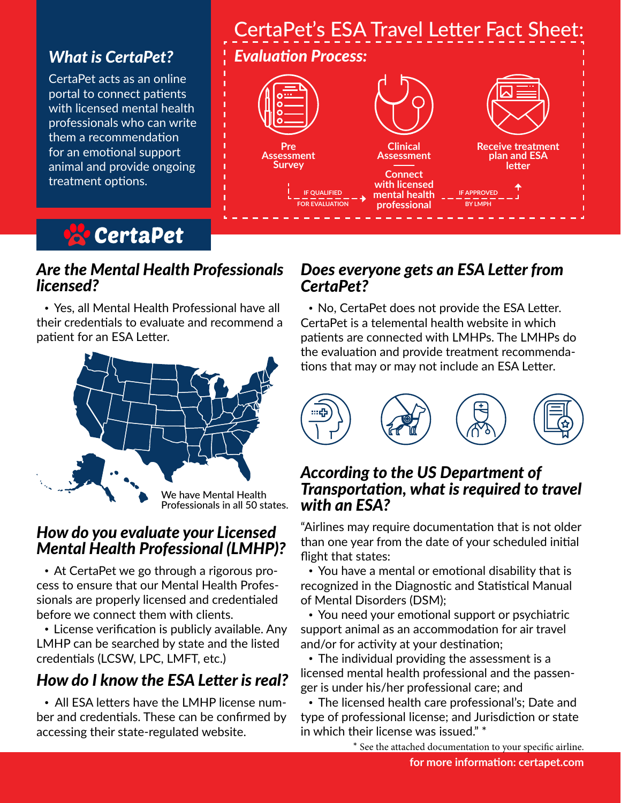### *What is CertaPet?*

CertaPet acts as an online portal to connect patients with licensed mental health professionals who can write them a recommendation for an emotional support animal and provide ongoing treatment options.



### *Are the Mental Health Professionals licensed?*

 Yes, all Mental Health Professional have all their credentials to evaluate and recommend a patient for an ESA Letter.



### *How do you evaluate your Licensed Mental Health Professional (LMHP)?*

 At CertaPet we go through a rigorous process to ensure that our Mental Health Professionals are properly licensed and credentialed before we connect them with clients.

• License verification is publicly available. Any LMHP can be searched by state and the listed credentials (LCSW, LPC, LMFT, etc.)

# *How do I know the ESA Letter is real?*

 All ESA letters have the LMHP license number and credentials. These can be confirmed by accessing their state-regulated website.



### *Does everyone gets an ESA Letter from CertaPet?*

 No, CertaPet does not provide the ESA Letter. CertaPet is a telemental health website in which patients are connected with LMHPs. The LMHPs do the evaluation and provide treatment recommendations that may or may not include an ESA Letter.



### *According to the US Department of Transportation, what is required to travel with an ESA?*

"Airlines may require documentation that is not older than one year from the date of your scheduled initial flight that states:

 You have a mental or emotional disability that is recognized in the Diagnostic and Statistical Manual of Mental Disorders (DSM);

 You need your emotional support or psychiatric support animal as an accommodation for air travel and/or for activity at your destination;

 The individual providing the assessment is a licensed mental health professional and the passenger is under his/her professional care; and

 The licensed health care professional's; Date and type of professional license; and Jurisdiction or state in which their license was issued." \*

\* See the attached documentation to your specific airline.